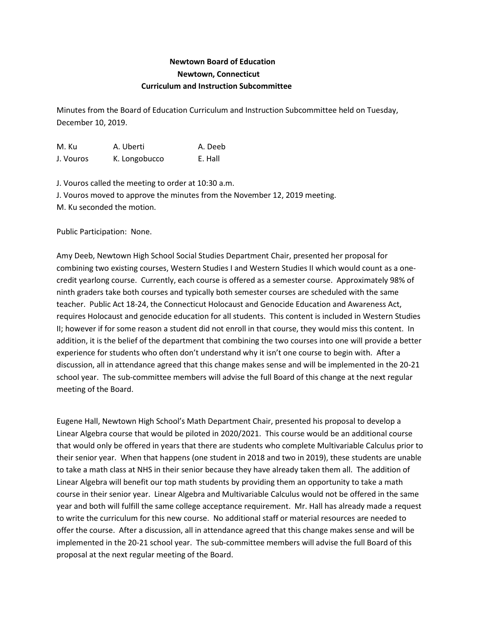## **Newtown Board of Education Newtown, Connecticut Curriculum and Instruction Subcommittee**

Minutes from the Board of Education Curriculum and Instruction Subcommittee held on Tuesday, December 10, 2019.

M. Ku A. Uberti A. Deeb J. Vouros K. Longobucco E. Hall

J. Vouros called the meeting to order at 10:30 a.m. J. Vouros moved to approve the minutes from the November 12, 2019 meeting. M. Ku seconded the motion.

Public Participation: None.

Amy Deeb, Newtown High School Social Studies Department Chair, presented her proposal for combining two existing courses, Western Studies I and Western Studies II which would count as a onecredit yearlong course. Currently, each course is offered as a semester course. Approximately 98% of ninth graders take both courses and typically both semester courses are scheduled with the same teacher. Public Act 18-24, the Connecticut Holocaust and Genocide Education and Awareness Act, requires Holocaust and genocide education for all students. This content is included in Western Studies II; however if for some reason a student did not enroll in that course, they would miss this content. In addition, it is the belief of the department that combining the two courses into one will provide a better experience for students who often don't understand why it isn't one course to begin with. After a discussion, all in attendance agreed that this change makes sense and will be implemented in the 20-21 school year. The sub-committee members will advise the full Board of this change at the next regular meeting of the Board.

Eugene Hall, Newtown High School's Math Department Chair, presented his proposal to develop a Linear Algebra course that would be piloted in 2020/2021. This course would be an additional course that would only be offered in years that there are students who complete Multivariable Calculus prior to their senior year. When that happens (one student in 2018 and two in 2019), these students are unable to take a math class at NHS in their senior because they have already taken them all. The addition of Linear Algebra will benefit our top math students by providing them an opportunity to take a math course in their senior year. Linear Algebra and Multivariable Calculus would not be offered in the same year and both will fulfill the same college acceptance requirement. Mr. Hall has already made a request to write the curriculum for this new course. No additional staff or material resources are needed to offer the course. After a discussion, all in attendance agreed that this change makes sense and will be implemented in the 20-21 school year. The sub-committee members will advise the full Board of this proposal at the next regular meeting of the Board.